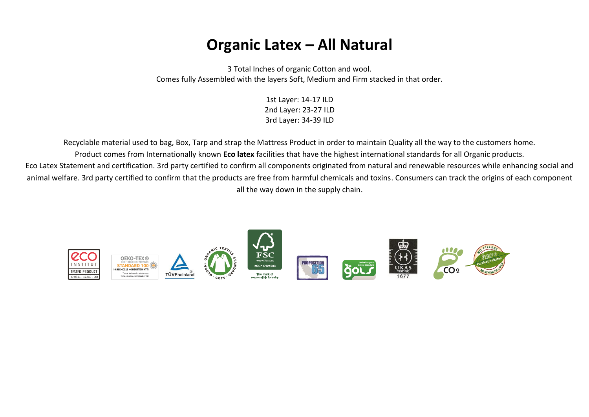# **Organic Latex – All Natural**

3 Total Inches of organic Cotton and wool. Comes fully Assembled with the layers Soft, Medium and Firm stacked in that order.

> 1st Layer: 14-17 ILD 2nd Layer: 23-27 ILD 3rd Layer: 34-39 ILD

Recyclable material used to bag, Box, Tarp and strap the Mattress Product in order to maintain Quality all the way to the customers home. Product comes from Internationally known **Eco latex** facilities that have the highest international standards for all Organic products.

Eco Latex Statement and certification. 3rd party certified to confirm all components originated from natural and renewable resources while enhancing social and animal welfare. 3rd party certified to confirm that the products are free from harmful chemicals and toxins. Consumers can track the origins of each component all the way down in the supply chain.

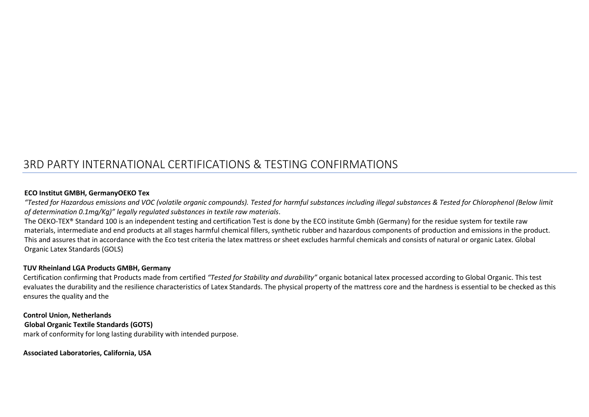# 3RD PARTY INTERNATIONAL CERTIFICATIONS & TESTING CONFIRMATIONS

### **ECO Institut GMBH, GermanyOEKO Tex**

*"Tested for Hazardous emissions and VOC (volatile organic compounds). Tested for harmful substances including illegal substances & Tested for Chlorophenol (Below limit of determination 0.1mg/Kg)" legally regulated substances in textile raw materials*.

The OEKO-TEX® Standard 100 is an independent testing and certification Test is done by the ECO institute Gmbh (Germany) for the residue system for textile raw materials, intermediate and end products at all stages harmful chemical fillers, synthetic rubber and hazardous components of production and emissions in the product. This and assures that in accordance with the Eco test criteria the latex mattress or sheet excludes harmful chemicals and consists of natural or organic Latex. Global Organic Latex Standards (GOLS)

#### **TUV Rheinland LGA Products GMBH, Germany**

Certification confirming that Products made from certified *"Tested for Stability and durability"* organic botanical latex processed according to Global Organic. This test evaluates the durability and the resilience characteristics of Latex Standards. The physical property of the mattress core and the hardness is essential to be checked as this ensures the quality and the

# **Control Union, Netherlands**

**Global Organic Textile Standards (GOTS)**

mark of conformity for long lasting durability with intended purpose.

**Associated Laboratories, California, USA**